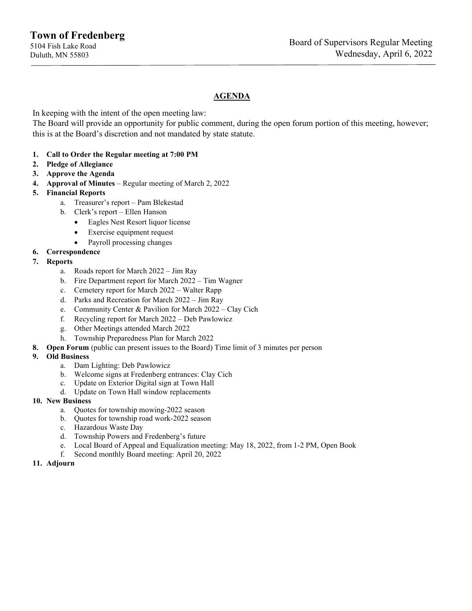### **AGENDA**

In keeping with the intent of the open meeting law:

The Board will provide an opportunity for public comment, during the open forum portion of this meeting, however; this is at the Board's discretion and not mandated by state statute.

#### **1. Call to Order the Regular meeting at 7:00 PM**

- **2. Pledge of Allegiance**
- **3. Approve the Agenda**
- **4. Approval of Minutes** Regular meeting of March 2, 2022
- **5. Financial Reports**
	- a. Treasurer's report Pam Blekestad
	- b. Clerk's report Ellen Hanson
		- Eagles Nest Resort liquor license
		- Exercise equipment request
		- Payroll processing changes
- **6. Correspondence**
- **7. Reports**
	- a. Roads report for March 2022 Jim Ray
	- b. Fire Department report for March 2022 Tim Wagner
	- c. Cemetery report for March 2022 Walter Rapp
	- d. Parks and Recreation for March 2022 Jim Ray
	- e. Community Center & Pavilion for March 2022 Clay Cich
	- f. Recycling report for March 2022 Deb Pawlowicz
	- g. Other Meetings attended March 2022
	- h. Township Preparedness Plan for March 2022
- **8. Open Forum** (public can present issues to the Board) Time limit of 3 minutes per person
- **9. Old Business**
	- a. Dam Lighting: Deb Pawlowicz
	- b. Welcome signs at Fredenberg entrances: Clay Cich
	- c. Update on Exterior Digital sign at Town Hall
	- d. Update on Town Hall window replacements
- **10. New Business**
	- a. Quotes for township mowing-2022 season
	- b. Quotes for township road work-2022 season
	- c. Hazardous Waste Day
	- d. Township Powers and Fredenberg's future
	- e. Local Board of Appeal and Equalization meeting: May 18, 2022, from 1-2 PM, Open Book
	- f. Second monthly Board meeting: April 20, 2022
- **11. Adjourn**